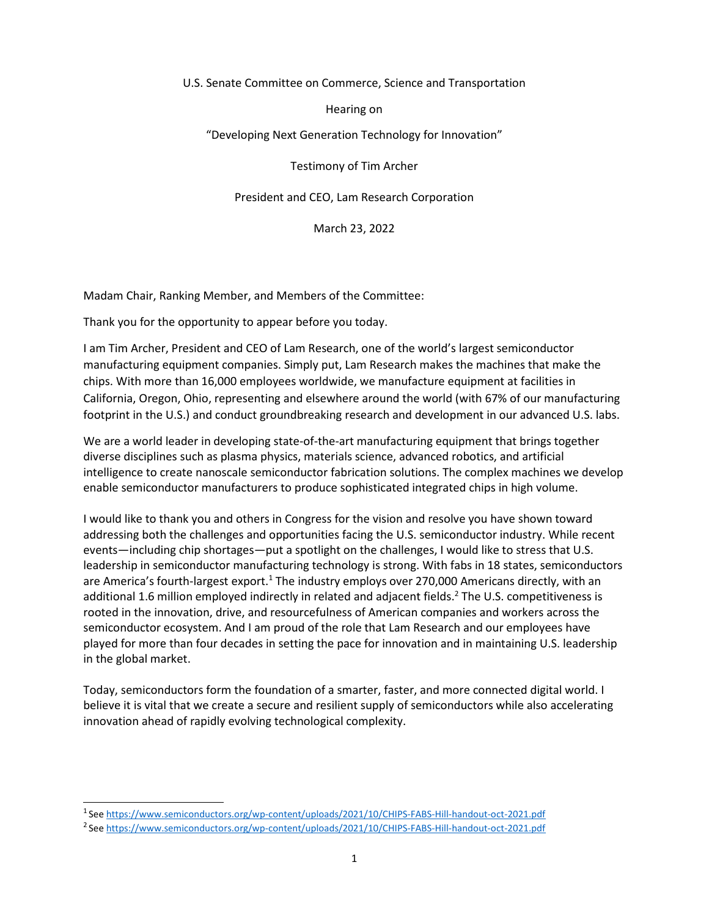### U.S. Senate Committee on Commerce, Science and Transportation

## Hearing on

## "Developing Next Generation Technology for Innovation"

Testimony of Tim Archer

## President and CEO, Lam Research Corporation

March 23, 2022

Madam Chair, Ranking Member, and Members of the Committee:

Thank you for the opportunity to appear before you today.

I am Tim Archer, President and CEO of Lam Research, one of the world's largest semiconductor manufacturing equipment companies. Simply put, Lam Research makes the machines that make the chips. With more than 16,000 employees worldwide, we manufacture equipment at facilities in California, Oregon, Ohio, representing and elsewhere around the world (with 67% of our manufacturing footprint in the U.S.) and conduct groundbreaking research and development in our advanced U.S. labs.

We are a world leader in developing state-of-the-art manufacturing equipment that brings together diverse disciplines such as plasma physics, materials science, advanced robotics, and artificial intelligence to create nanoscale semiconductor fabrication solutions. The complex machines we develop enable semiconductor manufacturers to produce sophisticated integrated chips in high volume.

I would like to thank you and others in Congress for the vision and resolve you have shown toward addressing both the challenges and opportunities facing the U.S. semiconductor industry. While recent events—including chip shortages—put a spotlight on the challenges, I would like to stress that U.S. leadership in semiconductor manufacturing technology is strong. With fabs in 18 states, semiconductors are America's fourth-largest export.<sup>1</sup> The industry employs over 270,000 Americans directly, with an additional 1.6 million employed indirectly in related and adjacent fields.<sup>2</sup> The U.S. competitiveness is rooted in the innovation, drive, and resourcefulness of American companies and workers across the semiconductor ecosystem. And I am proud of the role that Lam Research and our employees have played for more than four decades in setting the pace for innovation and in maintaining U.S. leadership in the global market.

Today, semiconductors form the foundation of a smarter, faster, and more connected digital world. I believe it is vital that we create a secure and resilient supply of semiconductors while also accelerating innovation ahead of rapidly evolving technological complexity.

<sup>1</sup> See<https://www.semiconductors.org/wp-content/uploads/2021/10/CHIPS-FABS-Hill-handout-oct-2021.pdf>

<sup>2</sup> See<https://www.semiconductors.org/wp-content/uploads/2021/10/CHIPS-FABS-Hill-handout-oct-2021.pdf>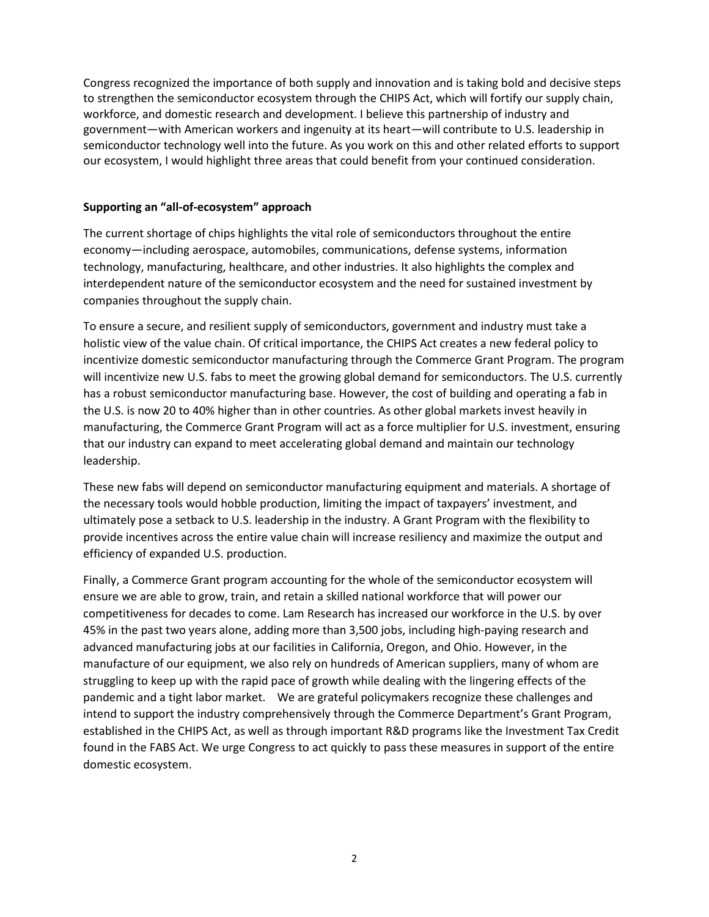Congress recognized the importance of both supply and innovation and is taking bold and decisive steps to strengthen the semiconductor ecosystem through the CHIPS Act, which will fortify our supply chain, workforce, and domestic research and development. I believe this partnership of industry and government—with American workers and ingenuity at its heart—will contribute to U.S. leadership in semiconductor technology well into the future. As you work on this and other related efforts to support our ecosystem, I would highlight three areas that could benefit from your continued consideration.

### **Supporting an "all-of-ecosystem" approach**

The current shortage of chips highlights the vital role of semiconductors throughout the entire economy—including aerospace, automobiles, communications, defense systems, information technology, manufacturing, healthcare, and other industries. It also highlights the complex and interdependent nature of the semiconductor ecosystem and the need for sustained investment by companies throughout the supply chain.

To ensure a secure, and resilient supply of semiconductors, government and industry must take a holistic view of the value chain. Of critical importance, the CHIPS Act creates a new federal policy to incentivize domestic semiconductor manufacturing through the Commerce Grant Program. The program will incentivize new U.S. fabs to meet the growing global demand for semiconductors. The U.S. currently has a robust semiconductor manufacturing base. However, the cost of building and operating a fab in the U.S. is now 20 to 40% higher than in other countries. As other global markets invest heavily in manufacturing, the Commerce Grant Program will act as a force multiplier for U.S. investment, ensuring that our industry can expand to meet accelerating global demand and maintain our technology leadership.

These new fabs will depend on semiconductor manufacturing equipment and materials. A shortage of the necessary tools would hobble production, limiting the impact of taxpayers' investment, and ultimately pose a setback to U.S. leadership in the industry. A Grant Program with the flexibility to provide incentives across the entire value chain will increase resiliency and maximize the output and efficiency of expanded U.S. production.

Finally, a Commerce Grant program accounting for the whole of the semiconductor ecosystem will ensure we are able to grow, train, and retain a skilled national workforce that will power our competitiveness for decades to come. Lam Research has increased our workforce in the U.S. by over 45% in the past two years alone, adding more than 3,500 jobs, including high-paying research and advanced manufacturing jobs at our facilities in California, Oregon, and Ohio. However, in the manufacture of our equipment, we also rely on hundreds of American suppliers, many of whom are struggling to keep up with the rapid pace of growth while dealing with the lingering effects of the pandemic and a tight labor market. We are grateful policymakers recognize these challenges and intend to support the industry comprehensively through the Commerce Department's Grant Program, established in the CHIPS Act, as well as through important R&D programs like the Investment Tax Credit found in the FABS Act. We urge Congress to act quickly to pass these measures in support of the entire domestic ecosystem.